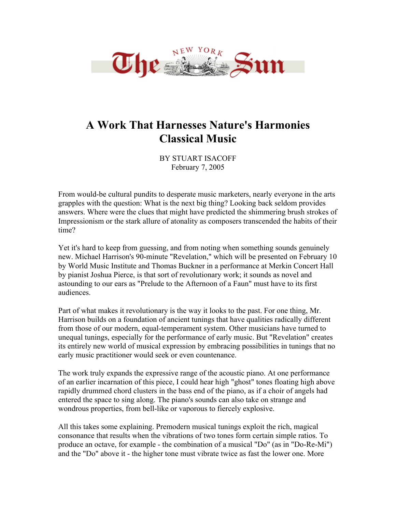

## **A Work That Harnesses Nature's Harmonies Classical Music**

BY STUART ISACOFF February 7, 2005

From would-be cultural pundits to desperate music marketers, nearly everyone in the arts grapples with the question: What is the next big thing? Looking back seldom provides answers. Where were the clues that might have predicted the shimmering brush strokes of Impressionism or the stark allure of atonality as composers transcended the habits of their time?

Yet it's hard to keep from guessing, and from noting when something sounds genuinely new. Michael Harrison's 90-minute "Revelation," which will be presented on February 10 by World Music Institute and Thomas Buckner in a performance at Merkin Concert Hall by pianist Joshua Pierce, is that sort of revolutionary work; it sounds as novel and astounding to our ears as "Prelude to the Afternoon of a Faun" must have to its first audiences.

Part of what makes it revolutionary is the way it looks to the past. For one thing, Mr. Harrison builds on a foundation of ancient tunings that have qualities radically different from those of our modern, equal-temperament system. Other musicians have turned to unequal tunings, especially for the performance of early music. But "Revelation" creates its entirely new world of musical expression by embracing possibilities in tunings that no early music practitioner would seek or even countenance.

The work truly expands the expressive range of the acoustic piano. At one performance of an earlier incarnation of this piece, I could hear high "ghost" tones floating high above rapidly drummed chord clusters in the bass end of the piano, as if a choir of angels had entered the space to sing along. The piano's sounds can also take on strange and wondrous properties, from bell-like or vaporous to fiercely explosive.

All this takes some explaining. Premodern musical tunings exploit the rich, magical consonance that results when the vibrations of two tones form certain simple ratios. To produce an octave, for example - the combination of a musical "Do" (as in "Do-Re-Mi") and the "Do" above it - the higher tone must vibrate twice as fast the lower one. More